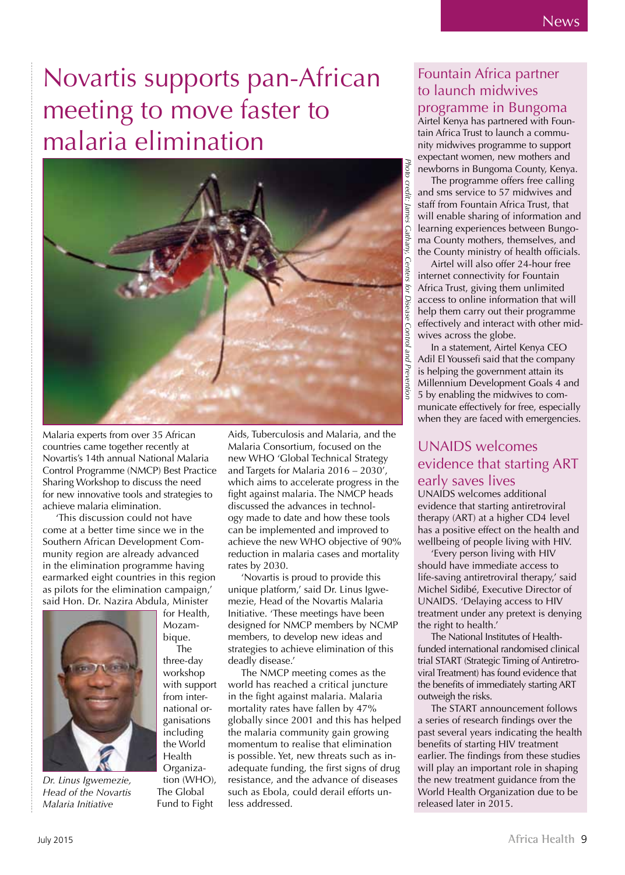### Novartis supports pan-African meeting to move faster to malaria elimination



Malaria experts from over 35 African countries came together recently at Novartis's 14th annual National Malaria Control Programme (NMCP) Best Practice Sharing Workshop to discuss the need for new innovative tools and strategies to achieve malaria elimination.

'This discussion could not have come at a better time since we in the Southern African Development Community region are already advanced in the elimination programme having earmarked eight countries in this region as pilots for the elimination campaign,' said Hon. Dr. Nazira Abdula, Minister

> for Health, Mozambique. The three-day workshop with support from international organisations including the World Health Organization (WHO), The Global Fund to Fight



*Dr. Linus Igwemezie, Head of the Novartis Malaria Initiative*

Aids, Tuberculosis and Malaria, and the Malaria Consortium, focused on the new WHO 'Global Technical Strategy and Targets for Malaria 2016 – 2030', which aims to accelerate progress in the fight against malaria. The NMCP heads discussed the advances in technology made to date and how these tools can be implemented and improved to achieve the new WHO objective of 90% reduction in malaria cases and mortality rates by 2030.

'Novartis is proud to provide this unique platform,' said Dr. Linus Igwemezie, Head of the Novartis Malaria Initiative. 'These meetings have been designed for NMCP members by NCMP members, to develop new ideas and strategies to achieve elimination of this deadly disease.'

The NMCP meeting comes as the world has reached a critical juncture in the fight against malaria. Malaria mortality rates have fallen by 47% globally since 2001 and this has helped the malaria community gain growing momentum to realise that elimination is possible. Yet, new threats such as inadequate funding, the first signs of drug resistance, and the advance of diseases such as Ebola, could derail efforts unless addressed.

### Fountain Africa partner to launch midwives

programme in Bungoma

Airtel Kenya has partnered with Fountain Africa Trust to launch a community midwives programme to support expectant women, new mothers and newborns in Bungoma County, Kenya.

The programme offers free calling and sms service to 57 midwives and staff from Fountain Africa Trust, that will enable sharing of information and learning experiences between Bungoma County mothers, themselves, and the County ministry of health officials.

Airtel will also offer 24-hour free internet connectivity for Fountain Africa Trust, giving them unlimited access to online information that will help them carry out their programme effectively and interact with other midwives across the globe.

In a statement, Airtel Kenya CEO Adil El Youssefi said that the company is helping the government attain its Millennium Development Goals 4 and 5 by enabling the midwives to communicate effectively for free, especially when they are faced with emergencies.

#### UNAIDS welcomes evidence that starting ART early saves lives

UNAIDS welcomes additional evidence that starting antiretroviral therapy (ART) at a higher CD4 level has a positive effect on the health and wellbeing of people living with HIV.

'Every person living with HIV should have immediate access to life-saving antiretroviral therapy,' said Michel Sidibé, Executive Director of UNAIDS. 'Delaying access to HIV treatment under any pretext is denying the right to health.'

The National Institutes of Healthfunded international randomised clinical trial START (Strategic Timing of Antiretroviral Treatment) has found evidence that the benefits of immediately starting ART outweigh the risks.

The START announcement follows a series of research findings over the past several years indicating the health benefits of starting HIV treatment earlier. The findings from these studies will play an important role in shaping the new treatment guidance from the World Health Organization due to be released later in 2015.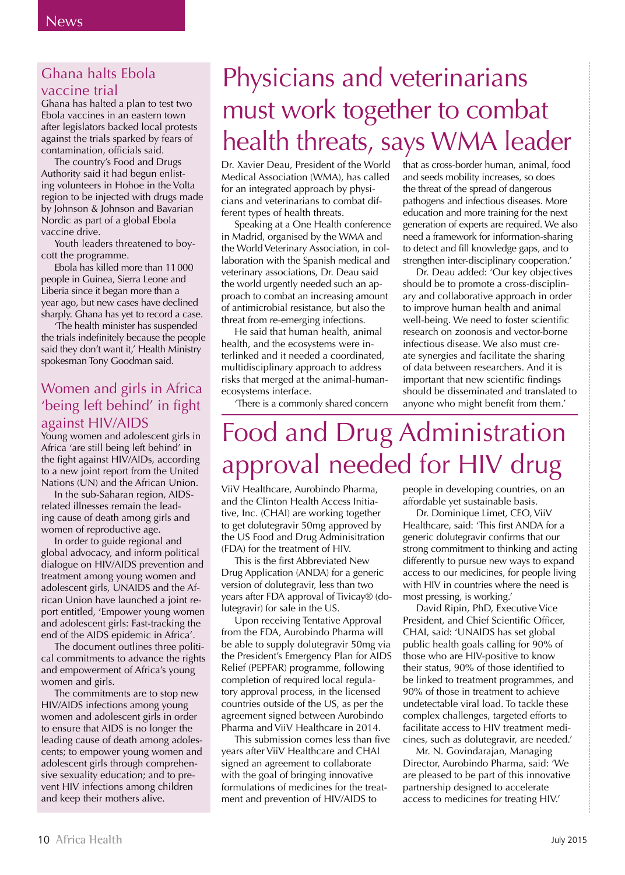#### Ghana halts Ebola vaccine trial

Ghana has halted a plan to test two Ebola vaccines in an eastern town after legislators backed local protests against the trials sparked by fears of contamination, officials said.

The country's Food and Drugs Authority said it had begun enlisting volunteers in Hohoe in the Volta region to be injected with drugs made by Johnson & Johnson and Bavarian Nordic as part of a global Ebola vaccine drive.

Youth leaders threatened to boycott the programme.

Ebola has killed more than 11 000 people in Guinea, Sierra Leone and Liberia since it began more than a year ago, but new cases have declined sharply. Ghana has yet to record a case.

'The health minister has suspended the trials indefinitely because the people said they don't want it,' Health Ministry spokesman Tony Goodman said.

#### Women and girls in Africa 'being left behind' in fight against HIV/AIDS

Young women and adolescent girls in Africa 'are still being left behind' in the fight against HIV/AIDs, according to a new joint report from the United Nations (UN) and the African Union.

In the sub-Saharan region, AIDSrelated illnesses remain the leading cause of death among girls and women of reproductive age.

In order to guide regional and global advocacy, and inform political dialogue on HIV/AIDS prevention and treatment among young women and adolescent girls, UNAIDS and the African Union have launched a joint report entitled, 'Empower young women and adolescent girls: Fast-tracking the end of the AIDS epidemic in Africa'.

The document outlines three political commitments to advance the rights and empowerment of Africa's young women and girls.

The commitments are to stop new HIV/AIDS infections among young women and adolescent girls in order to ensure that AIDS is no longer the leading cause of death among adolescents; to empower young women and adolescent girls through comprehensive sexuality education; and to prevent HIV infections among children and keep their mothers alive.

# Physicians and veterinarians must work together to combat health threats, says WMA leader

Dr. Xavier Deau, President of the World Medical Association (WMA), has called for an integrated approach by physicians and veterinarians to combat different types of health threats.

Speaking at a One Health conference in Madrid, organised by the WMA and the World Veterinary Association, in collaboration with the Spanish medical and veterinary associations, Dr. Deau said the world urgently needed such an approach to combat an increasing amount of antimicrobial resistance, but also the threat from re-emerging infections.

He said that human health, animal health, and the ecosystems were interlinked and it needed a coordinated, multidisciplinary approach to address risks that merged at the animal-humanecosystems interface.

'There is a commonly shared concern

that as cross-border human, animal, food and seeds mobility increases, so does the threat of the spread of dangerous pathogens and infectious diseases. More education and more training for the next generation of experts are required. We also need a framework for information-sharing to detect and fill knowledge gaps, and to strengthen inter-disciplinary cooperation.'

Dr. Deau added: 'Our key objectives should be to promote a cross-disciplinary and collaborative approach in order to improve human health and animal well-being. We need to foster scientific research on zoonosis and vector-borne infectious disease. We also must create synergies and facilitate the sharing of data between researchers. And it is important that new scientific findings should be disseminated and translated to anyone who might benefit from them.'

### Food and Drug Administration approval needed for HIV drug

ViiV Healthcare, Aurobindo Pharma, and the Clinton Health Access Initiative, Inc. (CHAI) are working together to get dolutegravir 50mg approved by the US Food and Drug Adminisitration (FDA) for the treatment of HIV.

This is the first Abbreviated New Drug Application (ANDA) for a generic version of dolutegravir, less than two years after FDA approval of Tivicay® (dolutegravir) for sale in the US.

Upon receiving Tentative Approval from the FDA, Aurobindo Pharma will be able to supply dolutegravir 50mg via the President's Emergency Plan for AIDS Relief (PEPFAR) programme, following completion of required local regulatory approval process, in the licensed countries outside of the US, as per the agreement signed between Aurobindo Pharma and ViiV Healthcare in 2014.

This submission comes less than five years after ViiV Healthcare and CHAI signed an agreement to collaborate with the goal of bringing innovative formulations of medicines for the treatment and prevention of HIV/AIDS to

people in developing countries, on an affordable yet sustainable basis.

Dr. Dominique Limet, CEO, ViiV Healthcare, said: 'This first ANDA for a generic dolutegravir confirms that our strong commitment to thinking and acting differently to pursue new ways to expand access to our medicines, for people living with HIV in countries where the need is most pressing, is working.'

David Ripin, PhD, Executive Vice President, and Chief Scientific Officer, CHAI, said: 'UNAIDS has set global public health goals calling for 90% of those who are HIV-positive to know their status, 90% of those identified to be linked to treatment programmes, and 90% of those in treatment to achieve undetectable viral load. To tackle these complex challenges, targeted efforts to facilitate access to HIV treatment medicines, such as dolutegravir, are needed.'

Mr. N. Govindarajan, Managing Director, Aurobindo Pharma, said: 'We are pleased to be part of this innovative partnership designed to accelerate access to medicines for treating HIV.'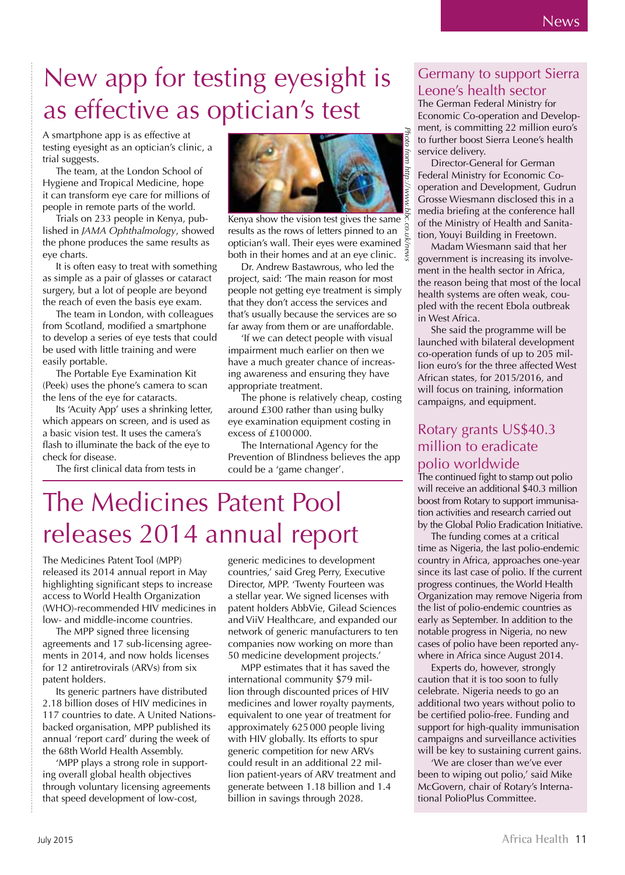### New app for testing eyesight is as effective as optician's test

A smartphone app is as effective at testing eyesight as an optician's clinic, a trial suggests.

The team, at the London School of Hygiene and Tropical Medicine, hope it can transform eye care for millions of people in remote parts of the world.

Trials on 233 people in Kenya, published in *JAMA Ophthalmology*, showed the phone produces the same results as eye charts.

It is often easy to treat with something as simple as a pair of glasses or cataract surgery, but a lot of people are beyond the reach of even the basis eye exam.

The team in London, with colleagues from Scotland, modified a smartphone to develop a series of eye tests that could be used with little training and were easily portable.

The Portable Eye Examination Kit (Peek) uses the phone's camera to scan the lens of the eye for cataracts.

Its 'Acuity App' uses a shrinking letter, which appears on screen, and is used as a basic vision test. It uses the camera's flash to illuminate the back of the eye to check for disease.

The first clinical data from tests in



Kenya show the vision test gives the same results as the rows of letters pinned to an optician's wall. Their eyes were examined both in their homes and at an eye clinic.  $\frac{9}{5}$ *Photo from http://www.bbc.co.uk/news*

Dr. Andrew Bastawrous, who led the project, said: 'The main reason for most people not getting eye treatment is simply that they don't access the services and that's usually because the services are so far away from them or are unaffordable.

'If we can detect people with visual impairment much earlier on then we have a much greater chance of increasing awareness and ensuring they have appropriate treatment.

The phone is relatively cheap, costing around £300 rather than using bulky eye examination equipment costing in excess of £100 000.

The International Agency for the Prevention of Blindness believes the app could be a 'game changer'.

### The Medicines Patent Pool releases 2014 annual report

The Medicines Patent Tool (MPP) released its 2014 annual report in May highlighting significant steps to increase access to World Health Organization (WHO)-recommended HIV medicines in low- and middle-income countries.

The MPP signed three licensing agreements and 17 sub-licensing agreements in 2014, and now holds licenses for 12 antiretrovirals (ARVs) from six patent holders.

Its generic partners have distributed 2.18 billion doses of HIV medicines in 117 countries to date. A United Nationsbacked organisation, MPP published its annual 'report card' during the week of the 68th World Health Assembly.

'MPP plays a strong role in supporting overall global health objectives through voluntary licensing agreements that speed development of low-cost,

generic medicines to development countries,' said Greg Perry, Executive Director, MPP. 'Twenty Fourteen was a stellar year. We signed licenses with patent holders AbbVie, Gilead Sciences and ViiV Healthcare, and expanded our network of generic manufacturers to ten companies now working on more than 50 medicine development projects.'

MPP estimates that it has saved the international community \$79 million through discounted prices of HIV medicines and lower royalty payments, equivalent to one year of treatment for approximately 625 000 people living with HIV globally. Its efforts to spur generic competition for new ARVs could result in an additional 22 million patient-years of ARV treatment and generate between 1.18 billion and 1.4 billion in savings through 2028.

#### Germany to support Sierra Leone's health sector

The German Federal Ministry for Economic Co-operation and Development, is committing 22 million euro's to further boost Sierra Leone's health service delivery.

Director-General for German Federal Ministry for Economic Cooperation and Development, Gudrun Grosse Wiesmann disclosed this in a media briefing at the conference hall of the Ministry of Health and Sanitation, Youyi Building in Freetown.

Madam Wiesmann said that her government is increasing its involvement in the health sector in Africa, the reason being that most of the local health systems are often weak, coupled with the recent Ebola outbreak in West Africa.

She said the programme will be launched with bilateral development co-operation funds of up to 205 million euro's for the three affected West African states, for 2015/2016, and will focus on training, information campaigns, and equipment.

#### Rotary grants US\$40.3 million to eradicate polio worldwide

The continued fight to stamp out polio will receive an additional \$40.3 million boost from Rotary to support immunisation activities and research carried out by the Global Polio Eradication Initiative.

The funding comes at a critical time as Nigeria, the last polio-endemic country in Africa, approaches one-year since its last case of polio. If the current progress continues, the World Health Organization may remove Nigeria from the list of polio-endemic countries as early as September. In addition to the notable progress in Nigeria, no new cases of polio have been reported anywhere in Africa since August 2014.

Experts do, however, strongly caution that it is too soon to fully celebrate. Nigeria needs to go an additional two years without polio to be certified polio-free. Funding and support for high-quality immunisation campaigns and surveillance activities will be key to sustaining current gains.

'We are closer than we've ever been to wiping out polio,' said Mike McGovern, chair of Rotary's International PolioPlus Committee.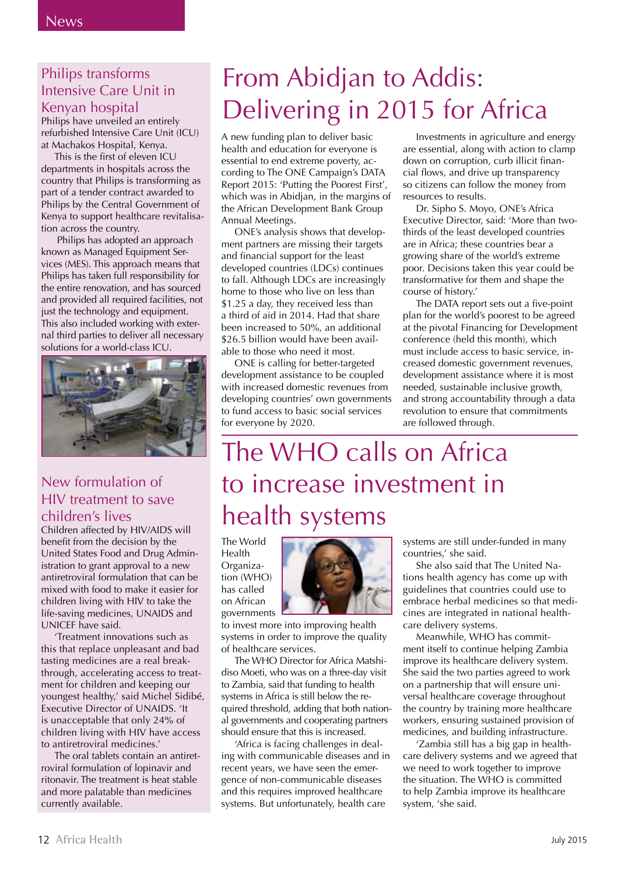#### Philips transforms Intensive Care Unit in Kenyan hospital

Philips have unveiled an entirely refurbished Intensive Care Unit (ICU) at Machakos Hospital, Kenya.

This is the first of eleven ICU departments in hospitals across the country that Philips is transforming as part of a tender contract awarded to Philips by the Central Government of Kenya to support healthcare revitalisation across the country.

 Philips has adopted an approach known as Managed Equipment Services (MES). This approach means that Philips has taken full responsibility for the entire renovation, and has sourced and provided all required facilities, not just the technology and equipment. This also included working with external third parties to deliver all necessary solutions for a world-class ICU.



#### New formulation of HIV treatment to save children's lives

Children affected by HIV/AIDS will benefit from the decision by the United States Food and Drug Administration to grant approval to a new antiretroviral formulation that can be mixed with food to make it easier for children living with HIV to take the life-saving medicines, UNAIDS and UNICEF have said.

'Treatment innovations such as this that replace unpleasant and bad tasting medicines are a real breakthrough, accelerating access to treatment for children and keeping our youngest healthy,' said Michel Sidibé, Executive Director of UNAIDS. 'It is unacceptable that only 24% of children living with HIV have access to antiretroviral medicines.'

The oral tablets contain an antiretroviral formulation of lopinavir and ritonavir. The treatment is heat stable and more palatable than medicines currently available.

# From Abidjan to Addis: Delivering in 2015 for Africa

A new funding plan to deliver basic health and education for everyone is essential to end extreme poverty, according to The ONE Campaign's DATA Report 2015: 'Putting the Poorest First', which was in Abidjan, in the margins of the African Development Bank Group Annual Meetings.

ONE's analysis shows that development partners are missing their targets and financial support for the least developed countries (LDCs) continues to fall. Although LDCs are increasingly home to those who live on less than \$1.25 a day, they received less than a third of aid in 2014. Had that share been increased to 50%, an additional \$26.5 billion would have been available to those who need it most.

ONE is calling for better-targeted development assistance to be coupled with increased domestic revenues from developing countries' own governments to fund access to basic social services for everyone by 2020.

Investments in agriculture and energy are essential, along with action to clamp down on corruption, curb illicit financial flows, and drive up transparency so citizens can follow the money from resources to results.

Dr. Sipho S. Moyo, ONE's Africa Executive Director, said: 'More than twothirds of the least developed countries are in Africa; these countries bear a growing share of the world's extreme poor. Decisions taken this year could be transformative for them and shape the course of history.'

The DATA report sets out a five-point plan for the world's poorest to be agreed at the pivotal Financing for Development conference (held this month), which must include access to basic service, increased domestic government revenues, development assistance where it is most needed, sustainable inclusive growth, and strong accountability through a data revolution to ensure that commitments are followed through.

### The WHO calls on Africa to increase investment in health systems

The World Health Organization (WHO) has called on African governments



to invest more into improving health systems in order to improve the quality of healthcare services.

The WHO Director for Africa Matshidiso Moeti, who was on a three-day visit to Zambia, said that funding to health systems in Africa is still below the required threshold, adding that both national governments and cooperating partners should ensure that this is increased.

'Africa is facing challenges in dealing with communicable diseases and in recent years, we have seen the emergence of non-communicable diseases and this requires improved healthcare systems. But unfortunately, health care

systems are still under-funded in many countries,' she said.

She also said that The United Nations health agency has come up with guidelines that countries could use to embrace herbal medicines so that medicines are integrated in national healthcare delivery systems.

Meanwhile, WHO has commitment itself to continue helping Zambia improve its healthcare delivery system. She said the two parties agreed to work on a partnership that will ensure universal healthcare coverage throughout the country by training more healthcare workers, ensuring sustained provision of medicines, and building infrastructure.

'Zambia still has a big gap in healthcare delivery systems and we agreed that we need to work together to improve the situation. The WHO is committed to help Zambia improve its healthcare system, 'she said.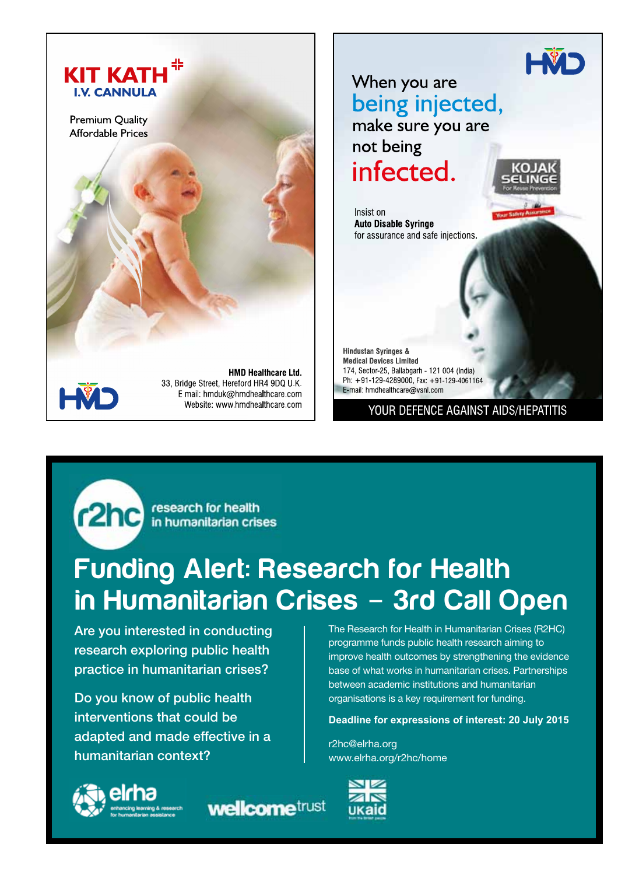



E mail: hmduk@hmdhealthcare.com Website: www.hmdhealthcare.com

YOUR DEFENCE AGAINST AIDS/HEPATITIS

r2hc research for health

# Funding Alert: Research for Health in Humanitarian Crises - 3rd Call Open

Are you interested in conducting research exploring public health practice in humanitarian crises?

Do you know of public health interventions that could be adapted and made effective in a humanitarian context?



**wellcome**trust

The Research for Health in Humanitarian Crises (R2HC) programme funds public health research aiming to improve health outcomes by strengthening the evidence base of what works in humanitarian crises. Partnerships between academic institutions and humanitarian organisations is a key requirement for funding.

#### **Deadline for expressions of interest: 20 July 2015**

r2hc@elrha.org www.elrha.org/r2hc/home

E-mail: hmdhealthcare@vsnl.com